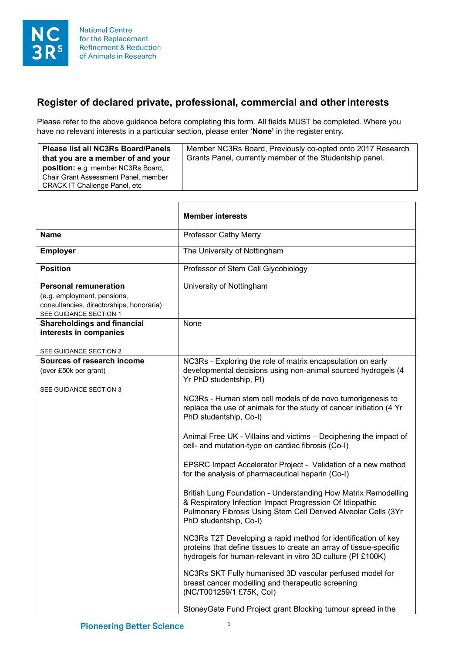

## **Register of declared private, professional, commercial and otherinterests**

Please refer to the above guidance before completing this form. All fields MUST be completed. Where you have no relevant interests in a particular section, please enter '**None'** in the register entry.

| <b>Please list all NC3Rs Board/Panels</b><br>that you are a member of and your | Member NC3Rs Board, Previously co-opted onto 2017 Research<br>Grants Panel, currently member of the Studentship panel. |
|--------------------------------------------------------------------------------|------------------------------------------------------------------------------------------------------------------------|
| <b>position:</b> e.g. member NC3Rs Board,                                      |                                                                                                                        |
| Chair Grant Assessment Panel, member                                           |                                                                                                                        |
| CRACK IT Challenge Panel, etc                                                  |                                                                                                                        |

 $\mathsf{r}$ 

|                                                                                                                                   | <b>Member interests</b>                                                                                                                                                                                                                                                                                                                                                                                                                                                                                                                                                                                                                                                                                                                                                                                                                                                                                                                                                                                                                                                                                                                                                                                              |
|-----------------------------------------------------------------------------------------------------------------------------------|----------------------------------------------------------------------------------------------------------------------------------------------------------------------------------------------------------------------------------------------------------------------------------------------------------------------------------------------------------------------------------------------------------------------------------------------------------------------------------------------------------------------------------------------------------------------------------------------------------------------------------------------------------------------------------------------------------------------------------------------------------------------------------------------------------------------------------------------------------------------------------------------------------------------------------------------------------------------------------------------------------------------------------------------------------------------------------------------------------------------------------------------------------------------------------------------------------------------|
| <b>Name</b>                                                                                                                       | Professor Cathy Merry                                                                                                                                                                                                                                                                                                                                                                                                                                                                                                                                                                                                                                                                                                                                                                                                                                                                                                                                                                                                                                                                                                                                                                                                |
| <b>Employer</b>                                                                                                                   | The University of Nottingham                                                                                                                                                                                                                                                                                                                                                                                                                                                                                                                                                                                                                                                                                                                                                                                                                                                                                                                                                                                                                                                                                                                                                                                         |
| <b>Position</b>                                                                                                                   | Professor of Stem Cell Glycobiology                                                                                                                                                                                                                                                                                                                                                                                                                                                                                                                                                                                                                                                                                                                                                                                                                                                                                                                                                                                                                                                                                                                                                                                  |
| <b>Personal remuneration</b><br>(e.g. employment, pensions,<br>consultancies, directorships, honoraria)<br>SEE GUIDANCE SECTION 1 | University of Nottingham                                                                                                                                                                                                                                                                                                                                                                                                                                                                                                                                                                                                                                                                                                                                                                                                                                                                                                                                                                                                                                                                                                                                                                                             |
| <b>Shareholdings and financial</b><br>interests in companies<br>SEE GUIDANCE SECTION 2                                            | None                                                                                                                                                                                                                                                                                                                                                                                                                                                                                                                                                                                                                                                                                                                                                                                                                                                                                                                                                                                                                                                                                                                                                                                                                 |
| Sources of research income<br>(over £50k per grant)<br>SEE GUIDANCE SECTION 3                                                     | NC3Rs - Exploring the role of matrix encapsulation on early<br>developmental decisions using non-animal sourced hydrogels (4<br>Yr PhD studentship, PI)<br>NC3Rs - Human stem cell models of de novo tumorigenesis to<br>replace the use of animals for the study of cancer initiation (4 Yr<br>PhD studentship, Co-I)<br>Animal Free UK - Villains and victims - Deciphering the impact of<br>cell- and mutation-type on cardiac fibrosis (Co-I)<br>EPSRC Impact Accelerator Project - Validation of a new method<br>for the analysis of pharmaceutical heparin (Co-I)<br>British Lung Foundation - Understanding How Matrix Remodelling<br>& Respiratory Infection Impact Progression Of Idiopathic<br>Pulmonary Fibrosis Using Stem Cell Derived Alveolar Cells (3Yr<br>PhD studentship, Co-I)<br>NC3Rs T2T Developing a rapid method for identification of key<br>proteins that define tissues to create an array of tissue-specific<br>hydrogels for human-relevant in vitro 3D culture (PI £100K)<br>NC3Rs SKT Fully humanised 3D vascular perfused model for<br>breast cancer modelling and therapeutic screening<br>(NC/T001259/1 £75K, Col)<br>Stoney Gate Fund Project grant Blocking tumour spread in the |